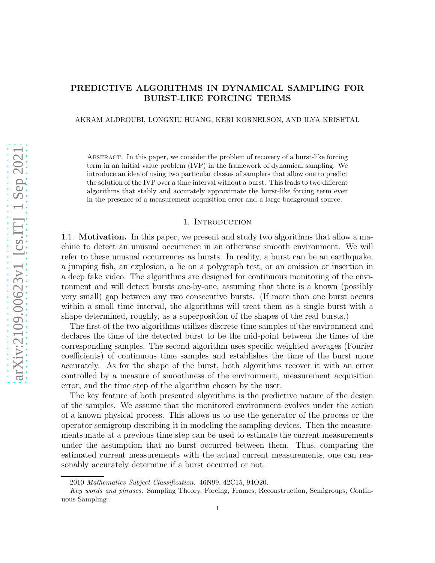# PREDICTIVE ALGORITHMS IN DYNAMICAL SAMPLING FOR BURST-LIKE FORCING TERMS

AKRAM ALDROUBI, LONGXIU HUANG, KERI KORNELSON, AND ILYA KRISHTAL

Abstract. In this paper, we consider the problem of recovery of a burst-like forcing term in an initial value problem (IVP) in the framework of dynamical sampling. We introduce an idea of using two particular classes of samplers that allow one to predict the solution of the IVP over a time interval without a burst. This leads to two different algorithms that stably and accurately approximate the burst-like forcing term even in the presence of a measurement acquisition error and a large background source.

# 1. INTRODUCTION

1.1. Motivation. In this paper, we present and study two algorithms that allow a machine to detect an unusual occurrence in an otherwise smooth environment. We will refer to these unusual occurrences as bursts. In reality, a burst can be an earthquake, a jumping fish, an explosion, a lie on a polygraph test, or an omission or insertion in a deep fake video. The algorithms are designed for continuous monitoring of the environment and will detect bursts one-by-one, assuming that there is a known (possibly very small) gap between any two consecutive bursts. (If more than one burst occurs within a small time interval, the algorithms will treat them as a single burst with a shape determined, roughly, as a superposition of the shapes of the real bursts.)

The first of the two algorithms utilizes discrete time samples of the environment and declares the time of the detected burst to be the mid-point between the times of the corresponding samples. The second algorithm uses specific weighted averages (Fourier coefficients) of continuous time samples and establishes the time of the burst more accurately. As for the shape of the burst, both algorithms recover it with an error controlled by a measure of smoothness of the environment, measurement acquisition error, and the time step of the algorithm chosen by the user.

The key feature of both presented algorithms is the predictive nature of the design of the samples. We assume that the monitored environment evolves under the action of a known physical process. This allows us to use the generator of the process or the operator semigroup describing it in modeling the sampling devices. Then the measurements made at a previous time step can be used to estimate the current measurements under the assumption that no burst occurred between them. Thus, comparing the estimated current measurements with the actual current measurements, one can reasonably accurately determine if a burst occurred or not.

<sup>2010</sup> Mathematics Subject Classification. 46N99, 42C15, 94O20.

Key words and phrases. Sampling Theory, Forcing, Frames, Reconstruction, Semigroups, Continuous Sampling .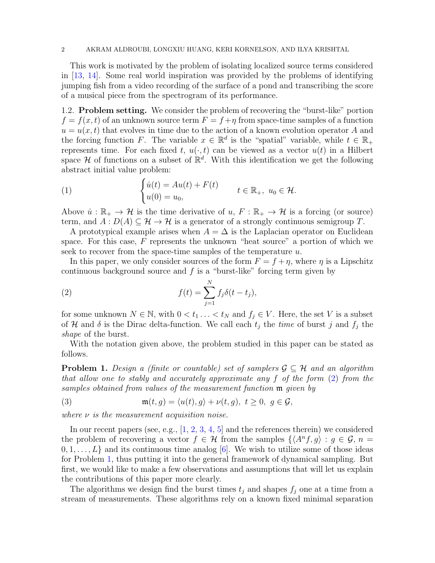#### 2 AKRAM ALDROUBI, LONGXIU HUANG, KERI KORNELSON, AND ILYA KRISHTAL

This work is motivated by the problem of isolating localized source terms considered in [\[13,](#page-24-0) [14\]](#page-24-1). Some real world inspiration was provided by the problems of identifying jumping fish from a video recording of the surface of a pond and transcribing the score of a musical piece from the spectrogram of its performance.

1.2. Problem setting. We consider the problem of recovering the "burst-like" portion  $f = f(x, t)$  of an unknown source term  $F = f + \eta$  from space-time samples of a function  $u = u(x, t)$  that evolves in time due to the action of a known evolution operator A and the forcing function F. The variable  $x \in \mathbb{R}^d$  is the "spatial" variable, while  $t \in \mathbb{R}_+$ represents time. For each fixed t,  $u(\cdot, t)$  can be viewed as a vector  $u(t)$  in a Hilbert space  $\mathcal H$  of functions on a subset of  $\mathbb R^d$ . With this identification we get the following abstract initial value problem:

<span id="page-1-2"></span>(1) 
$$
\begin{cases} \dot{u}(t) = Au(t) + F(t) \\ u(0) = u_0, \end{cases} \quad t \in \mathbb{R}_+, \ u_0 \in \mathcal{H}.
$$

Above  $\dot{u}: \mathbb{R}_+ \to \mathcal{H}$  is the time derivative of  $u, F: \mathbb{R}_+ \to \mathcal{H}$  is a forcing (or source) term, and  $A: D(A) \subseteq \mathcal{H} \to \mathcal{H}$  is a generator of a strongly continuous semigroup T.

A prototypical example arises when  $A = \Delta$  is the Laplacian operator on Euclidean space. For this case,  $F$  represents the unknown "heat source" a portion of which we seek to recover from the space-time samples of the temperature u.

In this paper, we only consider sources of the form  $F = f + \eta$ , where  $\eta$  is a Lipschitz continuous background source and  $f$  is a "burst-like" forcing term given by

<span id="page-1-0"></span>(2) 
$$
f(t) = \sum_{j=1}^{N} f_j \delta(t - t_j),
$$

for some unknown  $N \in \mathbb{N}$ , with  $0 < t_1 \ldots < t_N$  and  $f_j \in V$ . Here, the set V is a subset of H and  $\delta$  is the Dirac delta-function. We call each  $t_j$  the time of burst j and  $f_j$  the shape of the burst.

With the notation given above, the problem studied in this paper can be stated as follows.

<span id="page-1-1"></span>**Problem 1.** Design a (finite or countable) set of samplers  $\mathcal{G} \subseteq \mathcal{H}$  and an algorithm that allow one to stably and accurately approximate any f of the form [\(2\)](#page-1-0) from the samples obtained from values of the measurement function m given by

<span id="page-1-3"></span>(3) 
$$
\mathfrak{m}(t,g) = \langle u(t), g \rangle + \nu(t,g), \ t \geq 0, \ g \in \mathcal{G},
$$

where  $\nu$  is the measurement acquisition noise.

In our recent papers (see, e.g.,  $[1, 2, 3, 4, 5]$  $[1, 2, 3, 4, 5]$  $[1, 2, 3, 4, 5]$  $[1, 2, 3, 4, 5]$  $[1, 2, 3, 4, 5]$  $[1, 2, 3, 4, 5]$  $[1, 2, 3, 4, 5]$  $[1, 2, 3, 4, 5]$  and the references therein) we considered the problem of recovering a vector  $f \in \mathcal{H}$  from the samples  $\{\langle A^n f, g \rangle : g \in \mathcal{G}, n =$  $[0, 1, \ldots, L]$  and its continuous time analog [\[6\]](#page-23-5). We wish to utilize some of those ideas for Problem [1,](#page-1-1) thus putting it into the general framework of dynamical sampling. But first, we would like to make a few observations and assumptions that will let us explain the contributions of this paper more clearly.

The algorithms we design find the burst times  $t_j$  and shapes  $f_j$  one at a time from a stream of measurements. These algorithms rely on a known fixed minimal separation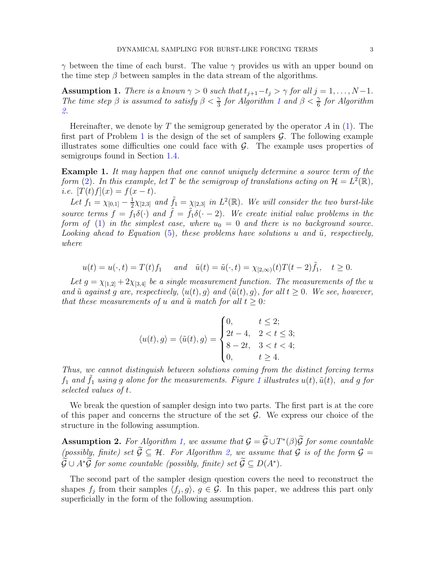$\gamma$  between the time of each burst. The value  $\gamma$  provides us with an upper bound on the time step  $\beta$  between samples in the data stream of the algorithms.

<span id="page-2-1"></span>**Assumption 1.** There is a known  $\gamma > 0$  such that  $t_{j+1}-t_j > \gamma$  for all  $j = 1, ..., N-1$ . The time step  $\beta$  is assumed to satisfy  $\beta < \frac{\gamma}{3}$  for Algorithm [1](#page-5-0) and  $\beta < \frac{\gamma}{6}$  for Algorithm [2.](#page-10-0)

Hereinafter, we denote by T the semigroup generated by the operator A in  $(1)$ . The first part of Problem [1](#page-1-1) is the design of the set of samplers  $\mathcal{G}$ . The following example illustrates some difficulties one could face with  $G$ . The example uses properties of semigroups found in Section [1.4.](#page-4-0)

Example 1. It may happen that one cannot uniquely determine a source term of the form [\(2\)](#page-1-0). In this example, let T be the semigroup of translations acting on  $\mathcal{H} = L^2(\mathbb{R})$ , i.e.  $[T(t)f](x) = f(x - t)$ .

Let  $f_1 = \chi_{[0,1]} - \frac{1}{2}$  $\frac{1}{2}\chi_{[2,3]}$  and  $\tilde{f}_1 = \chi_{[2,3]}$  in  $L^2(\mathbb{R})$ . We will consider the two burst-like source terms  $f = f_1 \delta(\cdot)$  and  $\tilde{f} = \tilde{f}_1 \delta(\cdot - 2)$ . We create initial value problems in the form of [\(1\)](#page-1-2) in the simplest case, where  $u_0 = 0$  and there is no background source. Looking ahead to Equation [\(5\)](#page-4-1), these problems have solutions u and  $\tilde{u}$ , respectively, where

$$
u(t) = u(\cdot, t) = T(t)f_1
$$
 and  $\tilde{u}(t) = \tilde{u}(\cdot, t) = \chi_{[2,\infty)}(t)T(t-2)\tilde{f}_1$ ,  $t \ge 0$ .

Let  $g = \chi_{[1,2]} + 2\chi_{[3,4]}$  be a single measurement function. The measurements of the u and  $\tilde{u}$  against g are, respectively,  $\langle u(t), g \rangle$  and  $\langle \tilde{u}(t), g \rangle$ , for all  $t \geq 0$ . We see, however, that these measurements of u and  $\tilde{u}$  match for all  $t \geq 0$ :

$$
\langle u(t), g \rangle = \langle \tilde{u}(t), g \rangle = \begin{cases} 0, & t \leq 2; \\ 2t - 4, & 2 < t \leq 3; \\ 8 - 2t, & 3 < t < 4; \\ 0, & t \geq 4. \end{cases}
$$

Thus, we cannot distinguish between solutions coming from the distinct forcing terms  $f_1$  $f_1$  and  $\tilde{f}_1$  using g alone for the measurements. Figure 1 illustrates  $u(t)$ ,  $\tilde{u}(t)$ , and g for selected values of t.

We break the question of sampler design into two parts. The first part is at the core of this paper and concerns the structure of the set  $\mathcal{G}$ . We express our choice of the structure in the following assumption.

<span id="page-2-0"></span>**Assumption 2.** For Algorithm [1,](#page-5-0) we assume that  $\mathcal{G} = \tilde{\mathcal{G}} \cup T^*(\beta)\tilde{\mathcal{G}}$  for some countable (possibly, finite) set  $\widetilde{G} \subseteq \mathcal{H}$ . For Algorithm [2,](#page-10-0) we assume that G is of the form  $\mathcal{G} =$  $\widetilde{\mathcal{G}} \cup A^*\widetilde{\mathcal{G}}$  for some countable (possibly, finite) set  $\widetilde{\mathcal{G}} \subseteq D(A^*)$ .

The second part of the sampler design question covers the need to reconstruct the shapes  $f_j$  from their samples  $\langle f_j, g \rangle, g \in \mathcal{G}$ . In this paper, we address this part only superficially in the form of the following assumption.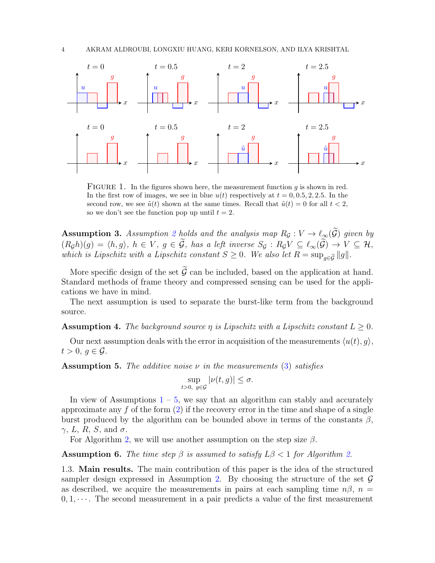<span id="page-3-0"></span>

FIGURE 1. In the figures shown here, the measurement function  $g$  is shown in red. In the first row of images, we see in blue  $u(t)$  respectively at  $t = 0, 0.5, 2, 2.5$ . In the second row, we see  $\tilde{u}(t)$  shown at the same times. Recall that  $\tilde{u}(t) = 0$  for all  $t < 2$ , so we don't see the function pop up until  $t = 2$ .

<span id="page-3-3"></span>**Assumption 3.** Assumption [2](#page-2-0) holds and the analysis map  $R_G: V \to \ell_{\infty}(\widetilde{\mathcal{G}})$  given by  $(R_{\mathcal{G}}h)(g) = \langle h, g \rangle, h \in V, g \in \mathcal{G},$  has a left inverse  $S_{\mathcal{G}} : R_{\mathcal{G}}V \subseteq \ell_{\infty}(\mathcal{G}) \to V \subseteq \mathcal{H},$ which is Lipschitz with a Lipschitz constant  $S \geq 0$ . We also let  $R = \sup_{g \in \tilde{\mathcal{G}}} ||g||$ .

More specific design of the set  $\tilde{G}$  can be included, based on the application at hand. Standard methods of frame theory and compressed sensing can be used for the applications we have in mind.

The next assumption is used to separate the burst-like term from the background source.

<span id="page-3-2"></span>**Assumption 4.** The background source  $\eta$  is Lipschitz with a Lipschitz constant  $L > 0$ .

Our next assumption deals with the error in acquisition of the measurements  $\langle u(t), q \rangle$ ,  $t > 0, g \in \mathcal{G}$ .

<span id="page-3-1"></span>**Assumption 5.** The additive noise  $\nu$  in the measurements [\(3\)](#page-1-3) satisfies

$$
\sup_{t>0, g\in\mathcal{G}}|\nu(t,g)|\leq\sigma.
$$

In view of Assumptions  $1 - 5$  $1 - 5$ , we say that an algorithm can stably and accurately approximate any  $f$  of the form  $(2)$  if the recovery error in the time and shape of a single burst produced by the algorithm can be bounded above in terms of the constants  $\beta$ ,  $\gamma$ , L, R, S, and  $\sigma$ .

For Algorithm [2,](#page-10-0) we will use another assumption on the step size  $\beta$ .

<span id="page-3-4"></span>**Assumption 6.** The time step  $\beta$  is assumed to satisfy  $L\beta < 1$  for Algorithm [2.](#page-10-0)

1.3. Main results. The main contribution of this paper is the idea of the structured sampler design expressed in Assumption [2.](#page-2-0) By choosing the structure of the set  $\mathcal G$ as described, we acquire the measurements in pairs at each sampling time  $n\beta$ ,  $n =$  $0, 1, \dots$ . The second measurement in a pair predicts a value of the first measurement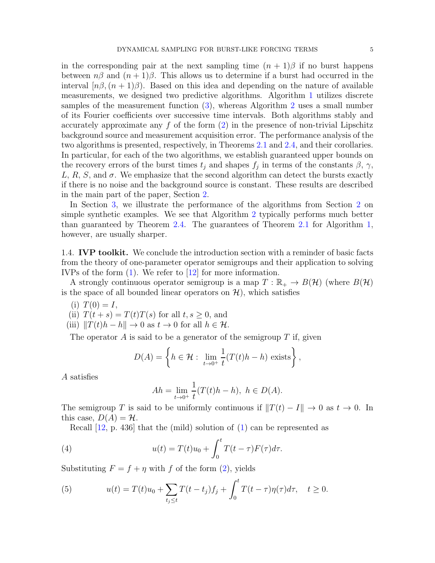in the corresponding pair at the next sampling time  $(n + 1)\beta$  if no burst happens between  $n\beta$  and  $(n+1)\beta$ . This allows us to determine if a burst had occurred in the interval  $[n\beta,(n+1)\beta)$ . Based on this idea and depending on the nature of available measurements, we designed two predictive algorithms. Algorithm [1](#page-5-0) utilizes discrete samples of the measurement function [\(3\)](#page-1-3), whereas Algorithm [2](#page-10-0) uses a small number of its Fourier coefficients over successive time intervals. Both algorithms stably and accurately approximate any  $f$  of the form  $(2)$  in the presence of non-trivial Lipschitz background source and measurement acquisition error. The performance analysis of the two algorithms is presented, respectively, in Theorems [2.1](#page-5-1) and [2.4,](#page-11-0) and their corollaries. In particular, for each of the two algorithms, we establish guaranteed upper bounds on the recovery errors of the burst times  $t_j$  and shapes  $f_j$  in terms of the constants  $\beta$ ,  $\gamma$ , L, R, S, and  $\sigma$ . We emphasize that the second algorithm can detect the bursts exactly if there is no noise and the background source is constant. These results are described in the main part of the paper, Section [2.](#page-5-2)

In Section [3,](#page-18-0) we illustrate the performance of the algorithms from Section [2](#page-5-2) on simple synthetic examples. We see that Algorithm [2](#page-10-0) typically performs much better than guaranteed by Theorem [2.4.](#page-11-0) The guarantees of Theorem [2.1](#page-5-1) for Algorithm [1,](#page-5-0) however, are usually sharper.

<span id="page-4-0"></span>1.4. **IVP toolkit.** We conclude the introduction section with a reminder of basic facts from the theory of one-parameter operator semigroups and their application to solving IVPs of the form [\(1\)](#page-1-2). We refer to [\[12\]](#page-24-2) for more information.

A strongly continuous operator semigroup is a map  $T : \mathbb{R}_+ \to B(\mathcal{H})$  (where  $B(\mathcal{H})$ is the space of all bounded linear operators on  $\mathcal{H}$ ), which satisfies

- (i)  $T(0) = I$ ,
- (ii)  $T(t + s) = T(t)T(s)$  for all  $t, s \geq 0$ , and
- (iii)  $||T(t)h h|| \to 0$  as  $t \to 0$  for all  $h \in \mathcal{H}$ .

The operator  $A$  is said to be a generator of the semigroup  $T$  if, given

$$
D(A) = \left\{ h \in \mathcal{H} : \lim_{t \to 0^+} \frac{1}{t} (T(t)h - h) \text{ exists} \right\},\
$$

A satisfies

$$
Ah = \lim_{t \to 0^+} \frac{1}{t} (T(t)h - h), \ h \in D(A).
$$

The semigroup T is said to be uniformly continuous if  $||T(t) - I|| \to 0$  as  $t \to 0$ . In this case,  $D(A) = H$ .

Recall [\[12,](#page-24-2) p. 436] that the (mild) solution of [\(1\)](#page-1-2) can be represented as

(4) 
$$
u(t) = T(t)u_0 + \int_0^t T(t-\tau)F(\tau)d\tau.
$$

Substituting  $F = f + \eta$  with f of the form [\(2\)](#page-1-0), yields

<span id="page-4-1"></span>(5) 
$$
u(t) = T(t)u_0 + \sum_{t_j \le t} T(t - t_j) f_j + \int_0^t T(t - \tau) \eta(\tau) d\tau, \quad t \ge 0.
$$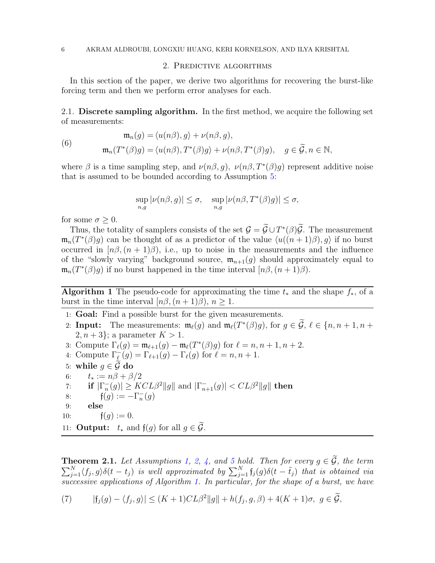# 2. Predictive algorithms

<span id="page-5-2"></span>In this section of the paper, we derive two algorithms for recovering the burst-like forcing term and then we perform error analyses for each.

2.1. Discrete sampling algorithm. In the first method, we acquire the following set of measurements:

<span id="page-5-3"></span>(6)  
\n
$$
\mathfrak{m}_n(g) = \langle u(n\beta), g \rangle + \nu(n\beta, g),
$$
\n
$$
\mathfrak{m}_n(T^*(\beta)g) = \langle u(n\beta), T^*(\beta)g \rangle + \nu(n\beta, T^*(\beta)g), \quad g \in \widetilde{\mathcal{G}}, n \in \mathbb{N},
$$

where  $\beta$  is a time sampling step, and  $\nu(n\beta, g)$ ,  $\nu(n\beta, T^*(\beta)g)$  represent additive noise that is assumed to be bounded according to Assumption [5:](#page-3-1)

$$
\sup_{n,g} |\nu(n\beta, g)| \le \sigma, \quad \sup_{n,g} |\nu(n\beta, T^*(\beta)g)| \le \sigma,
$$

for some  $\sigma \geq 0$ .

Thus, the totality of samplers consists of the set  $\mathcal{G} = \tilde{\mathcal{G}} \cup T^*(\beta)\tilde{\mathcal{G}}$ . The measurement  $\mathfrak{m}_n(T^*(\beta)g)$  can be thought of as a predictor of the value  $\langle u((n+1)\beta), g \rangle$  if no burst occurred in  $[n\beta,(n+1)\beta)$ , i.e., up to noise in the measurements and the influence of the "slowly varying" background source,  $\mathfrak{m}_{n+1}(q)$  should approximately equal to  $\mathfrak{m}_n(T^*(\beta)g)$  if no burst happened in the time interval  $[n\beta,(n+1)\beta)$ .

<span id="page-5-0"></span>Algorithm 1 The pseudo-code for approximating the time  $t_*$  and the shape  $f_*,$  of a burst in the time interval  $[n\beta,(n+1)\beta), n \geq 1$ .

- 1: Goal: Find a possible burst for the given measurements.
- 2: **Input:** The measurements:  $\mathfrak{m}_{\ell}(g)$  and  $\mathfrak{m}_{\ell}(T^*(\beta)g)$ , for  $g \in \mathcal{G}, \ell \in \{n, n+1, n+1\}$  $2, n+3$ ; a parameter  $K > 1$ .
- 3: Compute  $\Gamma_{\ell}(g) = \mathfrak{m}_{\ell+1}(g) \mathfrak{m}_{\ell}(T^*(\beta)g)$  for  $\ell = n, n + 1, n + 2$ .
- 4: Compute  $\Gamma_{\ell}(g) = \Gamma_{\ell+1}(g) \Gamma_{\ell}(g)$  for  $\ell = n, n + 1$ .
- 5: while  $g \in \mathcal{G}$  do<br>6:  $t_* := n\beta + \beta$
- $t_* := n\beta + \beta/2$
- 7: if  $|\Gamma_n(g)| \geq KCL\beta^2||g||$  and  $|\Gamma_{n+1}(g)| < CL\beta^2||g||$  then
- 8:  $f(g) := -\Gamma_n^{-}(g)$
- 9: else

10: 
$$
f(g) := 0.
$$

11: **Output:**  $t_*$  and  $f(g)$  for all  $g \in \widetilde{\mathcal{G}}$ .

<span id="page-5-1"></span> $\sum$ **Theorem 2.1.** Let Assumptions [1,](#page-2-1) [2,](#page-2-0) [4,](#page-3-2) and [5](#page-3-1) hold. Then for every  $g \in \mathcal{G}$ , the term  $\sum_{j=1}^{N} \langle f_j, g \rangle \delta(t - t_j)$  is well approximated by  $\sum_{j=1}^{N} \mathfrak{f}_j(g) \delta(t - \tilde{t}_j)$  that is obtained via successive applications of Algorithm [1.](#page-5-0) In particular, for the shape of a burst, we have

<span id="page-5-4"></span>(7) 
$$
|f_j(g) - \langle f_j, g \rangle| \le (K+1)CL\beta^2 ||g|| + h(f_j, g, \beta) + 4(K+1)\sigma, \ g \in \widetilde{\mathcal{G}},
$$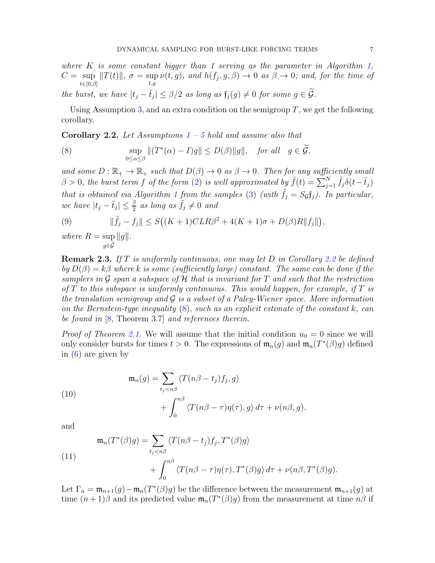where K is some constant bigger than 1 serving as the parameter in Algorithm [1,](#page-5-0)  $C = \sup_{t \in [0, \infty]} ||T(t)||$ ,  $\sigma = \sup_{t \in [0, \infty]} \nu(t, g)$ , and  $h(f_j, g, \beta) \to 0$  as  $\beta \to 0$ ; and, for the time of  $t\in[0,\beta]$ t,g the burst, we have  $|t_j - \tilde{t}_j| \leq \beta/2$  as long as  $\mathfrak{f}_j(g) \neq 0$  for some  $g \in \widetilde{\mathcal{G}}$ .

Using Assumption [3,](#page-3-3) and an extra condition on the semigroup  $T$ , we get the following corollary.

<span id="page-6-0"></span>**Corollary 2.2.** Let Assumptions  $1 - 5$  $1 - 5$  $1 - 5$  hold and assume also that

<span id="page-6-1"></span>(8) 
$$
\sup_{0\leq \alpha\leq \beta}||(T^*(\alpha)-I)g|| \leq D(\beta)||g||, \text{ for all } g \in \widetilde{\mathcal{G}},
$$

and some  $D : \mathbb{R}_+ \to \mathbb{R}_+$  such that  $D(\beta) \to 0$  as  $\beta \to 0$ . Then for any sufficiently small  $\beta > 0$ , the burst term f of the form [\(2\)](#page-1-0) is well approximated by  $\tilde{f}(t) = \sum_{j=1}^{N} \tilde{f}_j \delta(t - \tilde{t}_j)$ that is obtained via Algorithm [1](#page-5-0) from the samples [\(3\)](#page-1-3) (with  $\tilde{f}_j = S_{\mathcal{G}}f_j$ ). In particular, we have  $|t_j - \tilde{t}_j| \leq \frac{\beta}{2}$  as long as  $\tilde{f}_j \neq 0$  and

(9) 
$$
\|\tilde{f}_j - f_j\| \le S\big((K+1)CLR\beta^2 + 4(K+1)\sigma + D(\beta)R\|f_j\|\big),
$$

where  $R = \sup$  $\sup_{g\in\widetilde{\mathcal{G}}}\|g\|.$ 

**Remark 2.3.** If T is uniformly continuous, one may let D in Corollary [2.2](#page-6-0) be defined by  $D(\beta) = k\beta$  where k is some (sufficiently large) constant. The same can be done if the samplers in G span a subspace of H that is invariant for T and such that the restriction of  $T$  to this subspace is uniformly continuous. This would happen, for example, if  $T$  is the translation semigroup and  $\mathcal G$  is a subset of a Paley-Wiener space. More information on the Bernstein-type inequality  $(8)$ , such as an explicit estimate of the constant k, can be found in [\[8,](#page-24-3) Theorem 3.7] and references therein.

*Proof of Theorem [2.1.](#page-5-1)* We will assume that the initial condition  $u_0 = 0$  since we will only consider bursts for times  $t > 0$ . The expressions of  $\mathfrak{m}_n(g)$  and  $\mathfrak{m}_n(T^*(\beta)g)$  defined in [\(6\)](#page-5-3) are given by

(10)  
\n
$$
\mathfrak{m}_n(g) = \sum_{t_j < n\beta} \langle T(n\beta - t_j)f_j, g \rangle + \int_0^{n\beta} \langle T(n\beta - \tau)\eta(\tau), g \rangle \, d\tau + \nu(n\beta, g).
$$

and

(11)  
\n
$$
\mathfrak{m}_n(T^*(\beta)g) = \sum_{t_j < n\beta} \langle T(n\beta - t_j)f_j, T^*(\beta)g \rangle
$$
\n
$$
+ \int_0^{n\beta} \langle T(n\beta - \tau)\eta(\tau), T^*(\beta)g \rangle d\tau + \nu(n\beta, T^*(\beta)g).
$$

Let  $\Gamma_n = \mathfrak{m}_{n+1}(g) - \mathfrak{m}_n(T^*(\beta)g)$  be the difference between the measurement  $\mathfrak{m}_{n+1}(g)$  at time  $(n+1)\beta$  and its predicted value  $\mathfrak{m}_n(T^*(\beta)g)$  from the measurement at time  $n\beta$  if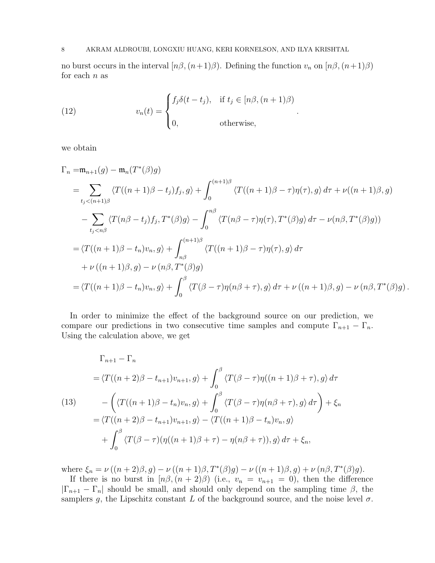#### 8 AKRAM ALDROUBI, LONGXIU HUANG, KERI KORNELSON, AND ILYA KRISHTAL

no burst occurs in the interval  $[n\beta,(n+1)\beta)$ . Defining the function  $v_n$  on  $[n\beta,(n+1)\beta)$ for each  $n$  as

.

<span id="page-7-0"></span>(12) 
$$
v_n(t) = \begin{cases} f_j \delta(t - t_j), & \text{if } t_j \in [n\beta, (n+1)\beta) \\ 0, & \text{otherwise,} \end{cases}
$$

we obtain

$$
\Gamma_n = \mathfrak{m}_{n+1}(g) - \mathfrak{m}_n(T^*(\beta)g)
$$
\n
$$
= \sum_{t_j < (n+1)\beta} \langle T((n+1)\beta - t_j)f_j, g \rangle + \int_0^{(n+1)\beta} \langle T((n+1)\beta - \tau)\eta(\tau), g \rangle d\tau + \nu((n+1)\beta, g)
$$
\n
$$
- \sum_{t_j < n\beta} \langle T(n\beta - t_j)f_j, T^*(\beta)g \rangle - \int_0^{n\beta} \langle T(n\beta - \tau)\eta(\tau), T^*(\beta)g \rangle d\tau - \nu(n\beta, T^*(\beta)g) \rangle
$$
\n
$$
= \langle T((n+1)\beta - t_n)v_n, g \rangle + \int_{n\beta}^{(n+1)\beta} \langle T((n+1)\beta - \tau)\eta(\tau), g \rangle d\tau
$$
\n
$$
+ \nu((n+1)\beta, g) - \nu(n\beta, T^*(\beta)g)
$$
\n
$$
= \langle T((n+1)\beta - t_n)v_n, g \rangle + \int_0^{\beta} \langle T(\beta - \tau)\eta(n\beta + \tau), g \rangle d\tau + \nu((n+1)\beta, g) - \nu(n\beta, T^*(\beta)g).
$$

In order to minimize the effect of the background source on our prediction, we compare our predictions in two consecutive time samples and compute  $\Gamma_{n+1} - \Gamma_n$ . Using the calculation above, we get

<span id="page-7-1"></span>
$$
\Gamma_{n+1} - \Gamma_n
$$
  
=  $\langle T((n+2)\beta - t_{n+1})v_{n+1}, g \rangle + \int_0^\beta \langle T(\beta - \tau)\eta((n+1)\beta + \tau), g \rangle d\tau$   
(13)
$$
- \left( \langle T((n+1)\beta - t_n)v_n, g \rangle + \int_0^\beta \langle T(\beta - \tau)\eta(n\beta + \tau), g \rangle d\tau \right) + \xi_n
$$

$$
= \langle T((n+2)\beta - t_{n+1})v_{n+1}, g \rangle - \langle T((n+1)\beta - t_n)v_n, g \rangle
$$

$$
+ \int_0^\beta \langle T(\beta - \tau)(\eta((n+1)\beta + \tau) - \eta(n\beta + \tau)), g \rangle d\tau + \xi_n,
$$

where  $\xi_n = \nu((n+2)\beta, g) - \nu((n+1)\beta, T^*(\beta)g) - \nu((n+1)\beta, g) + \nu(n\beta, T^*(\beta)g).$ 

If there is no burst in  $[n\beta,(n+2)\beta)$  (i.e.,  $v_n = v_{n+1} = 0$ ), then the difference  $|\Gamma_{n+1} - \Gamma_n|$  should be small, and should only depend on the sampling time  $\beta$ , the samplers g, the Lipschitz constant L of the background source, and the noise level  $\sigma$ .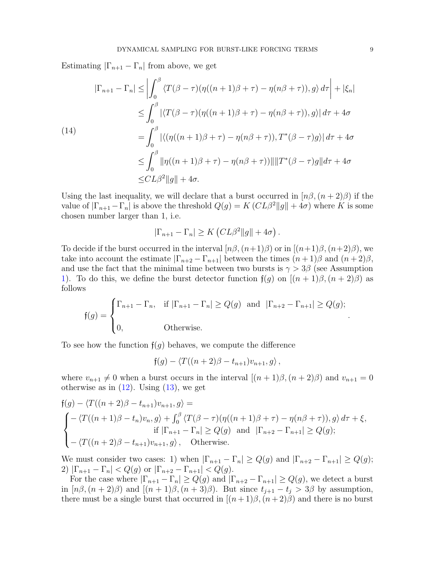Estimating  $|\Gamma_{n+1} - \Gamma_n|$  from above, we get

<span id="page-8-0"></span>
$$
|\Gamma_{n+1} - \Gamma_n| \le \left| \int_0^\beta \left\langle T(\beta - \tau) (\eta((n+1)\beta + \tau) - \eta(n\beta + \tau)), g \right\rangle d\tau \right| + |\xi_n|
$$
  
\n
$$
\le \int_0^\beta \left| \left\langle T(\beta - \tau) (\eta((n+1)\beta + \tau) - \eta(n\beta + \tau)), g \right\rangle d\tau + 4\sigma \right|
$$
  
\n(14)  
\n
$$
= \int_0^\beta \left| \left\langle (\eta((n+1)\beta + \tau) - \eta(n\beta + \tau)), T^*(\beta - \tau)g \right\rangle d\tau + 4\sigma \right|
$$
  
\n
$$
\le \int_0^\beta \|\eta((n+1)\beta + \tau) - \eta(n\beta + \tau))\| \|T^*(\beta - \tau)g\| d\tau + 4\sigma
$$
  
\n
$$
\le CL\beta^2 \|g\| + 4\sigma.
$$

Using the last inequality, we will declare that a burst occurred in  $[n\beta,(n+2)\beta)$  if the value of  $|\Gamma_{n+1}-\Gamma_n|$  is above the threshold  $Q(g) = K (CL\beta^2||g|| + 4\sigma)$  where K is some chosen number larger than 1, i.e.

$$
|\Gamma_{n+1} - \Gamma_n| \ge K \left( CL\beta^2 ||g|| + 4\sigma \right).
$$

To decide if the burst occurred in the interval  $[n\beta,(n+1)\beta)$  or in  $[(n+1)\beta,(n+2)\beta)$ , we take into account the estimate  $|\Gamma_{n+2} - \Gamma_{n+1}|$  between the times  $(n+1)\beta$  and  $(n+2)\beta$ , and use the fact that the minimal time between two bursts is  $\gamma > 3\beta$  (see Assumption [1\)](#page-2-1). To do this, we define the burst detector function  $f(g)$  on  $[(n+1)\beta, (n+2)\beta)$  as follows

$$
\mathfrak{f}(g) = \begin{cases} \Gamma_{n+1} - \Gamma_n, & \text{if } |\Gamma_{n+1} - \Gamma_n| \ge Q(g) \text{ and } |\Gamma_{n+2} - \Gamma_{n+1}| \ge Q(g); \\ 0, & \text{Otherwise.} \end{cases}
$$

To see how the function  $f(q)$  behaves, we compute the difference

 $f(q) - \langle T((n+2)\beta - t_{n+1})v_{n+1}, q \rangle$ ,

where  $v_{n+1} \neq 0$  when a burst occurs in the interval  $[(n+1)\beta,(n+2)\beta)$  and  $v_{n+1} = 0$ otherwise as in  $(12)$ . Using  $(13)$ , we get

$$
f(g) - \langle T((n+2)\beta - t_{n+1})v_{n+1}, g \rangle =
$$
\n
$$
\begin{cases}\n-\langle T((n+1)\beta - t_n)v_n, g \rangle + \int_0^\beta \langle T(\beta - \tau)(\eta((n+1)\beta + \tau) - \eta(n\beta + \tau)), g \rangle d\tau + \xi, \\
\text{if } |\Gamma_{n+1} - \Gamma_n| \ge Q(g) \text{ and } |\Gamma_{n+2} - \Gamma_{n+1}| \ge Q(g); \\
-\langle T((n+2)\beta - t_{n+1})v_{n+1}, g \rangle, \quad \text{Otherwise.} \n\end{cases}
$$

We must consider two cases: 1) when  $|\Gamma_{n+1} - \Gamma_n| \ge Q(g)$  and  $|\Gamma_{n+2} - \Gamma_{n+1}| \ge Q(g)$ ; 2)  $|\Gamma_{n+1} - \Gamma_n| < Q(g)$  or  $|\Gamma_{n+2} - \Gamma_{n+1}| < Q(g)$ .

For the case where  $|\Gamma_{n+1} - \Gamma_n| \ge Q(g)$  and  $|\Gamma_{n+2} - \Gamma_{n+1}| \ge Q(g)$ , we detect a burst in  $[n\beta,(n+2)\beta)$  and  $[(n+1)\beta,(n+3)\beta)$ . But since  $t_{j+1} - t_j > 3\beta$  by assumption, there must be a single burst that occurred in  $[(n+1)\beta,(n+2)\beta)$  and there is no burst

.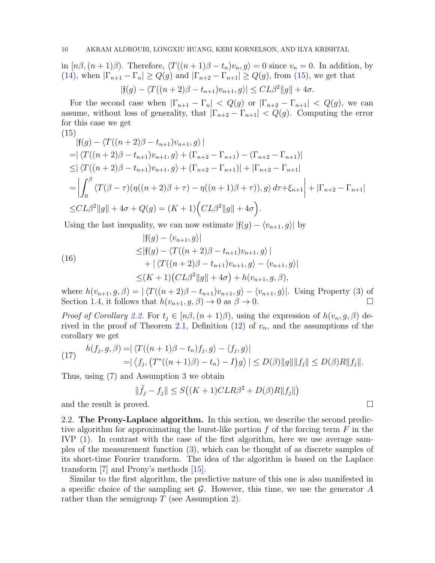in  $[n\beta,(n+1)\beta)$ . Therefore,  $\langle T((n+1)\beta - t_n)v_n, g \rangle = 0$  since  $v_n = 0$ . In addition, by [\(14\)](#page-8-0), when  $|\Gamma_{n+1} - \Gamma_n| \ge Q(g)$  and  $|\Gamma_{n+2} - \Gamma_{n+1}| \ge Q(g)$ , from [\(15\)](#page-9-0), we get that

$$
|f(g) - \langle T((n+2)\beta - t_{n+1})v_{n+1}, g \rangle| \leq CL\beta^2 ||g|| + 4\sigma.
$$

For the second case when  $|\Gamma_{n+1} - \Gamma_n| < Q(g)$  or  $|\Gamma_{n+2} - \Gamma_{n+1}| < Q(g)$ , we can assume, without loss of generality, that  $|\Gamma_{n+2} - \Gamma_{n+1}| < Q(g)$ . Computing the error for this case we get (15)

<span id="page-9-0"></span>
$$
|f(g) - \langle T((n+2)\beta - t_{n+1})v_{n+1}, g \rangle|
$$
  
=  $|\langle T((n+2)\beta - t_{n+1})v_{n+1}, g \rangle + (\Gamma_{n+2} - \Gamma_{n+1}) - (\Gamma_{n+2} - \Gamma_{n+1})|$   
 $\leq |\langle T((n+2)\beta - t_{n+1})v_{n+1}, g \rangle + (\Gamma_{n+2} - \Gamma_{n+1})| + |\Gamma_{n+2} - \Gamma_{n+1}|$   
=  $\left| \int_0^\beta \langle T(\beta - \tau)(\eta((n+2)\beta + \tau) - \eta((n+1)\beta + \tau)), g \rangle d\tau + \xi_{n+1} \right| + |\Gamma_{n+2} - \Gamma_{n+1}|$   
 $\leq CL\beta^2 ||g|| + 4\sigma + Q(g) = (K+1)\Big( CL\beta^2 ||g|| + 4\sigma \Big).$ 

Using the last inequality, we can now estimate  $|f(g) - \langle v_{n+1}, g \rangle|$  by

(16)  
\n
$$
|f(g) - \langle v_{n+1}, g \rangle|
$$
\n
$$
\leq |f(g) - \langle T((n+2)\beta - t_{n+1})v_{n+1}, g \rangle |
$$
\n
$$
+ | \langle T((n+2)\beta - t_{n+1})v_{n+1}, g \rangle - \langle v_{n+1}, g \rangle |
$$
\n
$$
\leq (K+1)(CL\beta^2 ||g|| + 4\sigma) + h(v_{n+1}, g, \beta),
$$

where  $h(v_{n+1}, g, \beta) = |\langle T((n+2)\beta - t_{n+1})v_{n+1}, g \rangle - \langle v_{n+1}, g \rangle|$ . Using Property (3) of Section 1.4, it follows that  $h(v_{n+1}, g, \beta) \to 0$  as  $\beta \to 0$ . Section [1.4,](#page-4-0) it follows that  $h(v_{n+1}, g, \beta) \to 0$  as  $\beta \to 0$ .

*Proof of Corollary [2.2.](#page-6-0)* For  $t_i \in [n\beta, (n+1)\beta)$ , using the expression of  $h(v_n, g, \beta)$  de-rived in the proof of Theorem [2.1,](#page-5-1) Definition  $(12)$  of  $v_n$ , and the assumptions of the corollary we get

(17) 
$$
h(f_j, g, \beta) = |\langle T((n+1)\beta - t_n)f_j, g \rangle - \langle f_j, g \rangle|
$$
  
=  $|\langle f_j, (T^*((n+1)\beta) - t_n) - I)g \rangle| \le D(\beta) \|g\| \|f_j\| \le D(\beta) R \|f_j\|.$ 

Thus, using [\(7\)](#page-5-4) and Assumption [3](#page-3-3) we obtain

$$
\|\tilde{f}_j - f_j\| \le S\big((K+1)CLR\beta^2 + D(\beta)R\|f_j\|\big)
$$

and the result is proved.  $\square$ 

2.2. The Prony-Laplace algorithm. In this section, we describe the second predictive algorithm for approximating the burst-like portion  $f$  of the forcing term  $F$  in the IVP [\(1\)](#page-1-2). In contrast with the case of the first algorithm, here we use average samples of the measurement function [\(3\)](#page-1-3), which can be thought of as discrete samples of its short-time Fourier transform. The idea of the algorithm is based on the Laplace transform [\[7\]](#page-24-4) and Prony's methods [\[15\]](#page-24-5).

Similar to the first algorithm, the predictive nature of this one is also manifested in a specific choice of the sampling set  $\mathcal G$ . However, this time, we use the generator  $A$ rather than the semigroup  $T$  (see Assumption [2\)](#page-2-0).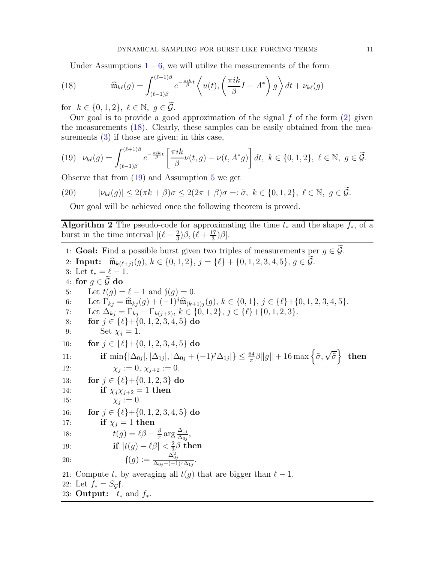<span id="page-10-1"></span>Under Assumptions  $1 - 6$  $1 - 6$ , we will utilize the measurements of the form

(18) 
$$
\widehat{\mathfrak{m}}_{k\ell}(g) = \int_{(\ell-1)\beta}^{(\ell+1)\beta} e^{-\frac{\pi ik}{\beta}t} \left\langle u(t), \left(\frac{\pi ik}{\beta}I - A^*\right)g\right\rangle dt + \nu_{k\ell}(g)
$$

for  $k \in \{0, 1, 2\}, \ell \in \mathbb{N}, q \in \mathcal{G}.$ 

Our goal is to provide a good approximation of the signal  $f$  of the form  $(2)$  given the measurements [\(18\)](#page-10-1). Clearly, these samples can be easily obtained from the measurements [\(3\)](#page-1-3) if those are given; in this case,

<span id="page-10-2"></span>
$$
(19) \quad \nu_{k\ell}(g) = \int_{(\ell-1)\beta}^{(\ell+1)\beta} e^{-\frac{\pi i k}{\beta}t} \left[ \frac{\pi i k}{\beta} \nu(t,g) - \nu(t,A^*g) \right] dt, \ k \in \{0,1,2\}, \ \ell \in \mathbb{N}, \ g \in \widetilde{\mathcal{G}}.
$$

Observe that from [\(19\)](#page-10-2) and Assumption [5](#page-3-1) we get

(20) 
$$
|\nu_{k\ell}(g)| \le 2(\pi k + \beta)\sigma \le 2(2\pi + \beta)\sigma =: \tilde{\sigma}, \ k \in \{0, 1, 2\}, \ \ell \in \mathbb{N}, \ g \in \tilde{\mathcal{G}}.
$$

<span id="page-10-3"></span><span id="page-10-0"></span>Our goal will be achieved once the following theorem is proved.

Algorithm 2 The pseudo-code for approximating the time  $t_*$  and the shape  $f_*$ , of a burst in the time interval  $\left[ (\ell - \frac{2}{3}) \right]$  $\frac{2}{3})\beta$ ,  $(\ell + \frac{17}{3})$  $\frac{17}{3})\beta].$ 

1: **Goal:** Find a possible burst given two triples of measurements per  $g \in \widetilde{\mathcal{G}}$ . 2: **Input:**  $\widehat{\mathfrak{m}}_{k(\ell+j)}(g), k \in \{0,1,2\}, j = \{\ell\} + \{0,1,2,3,4,5\}, g \in \widetilde{\mathcal{G}}.$ 3: Let  $t_* = \ell - 1$ . 4: for  $g \in \tilde{\mathcal{G}}$  do<br>5: Let  $t(q) =$ Let  $t(g) = \ell - 1$  and  $\mathfrak{f}(g) = 0$ . 6: Let  $\Gamma_{kj} = \widehat{\mathfrak{m}}_{kj}(g) + (-1)^j \widehat{\mathfrak{m}}_{(k+1)j}(g), k \in \{0, 1\}, j \in \{\ell\} + \{0, 1, 2, 3, 4, 5\}.$ 7: Let  $\Delta_{kj} = \Gamma_{kj} - \Gamma_{k(j+2)}$ ,  $k \in \{0, 1, 2\}$ ,  $j \in \{\ell\} + \{0, 1, 2, 3\}$ . 8: **for**  $j \in \{\ell\}+\{0, 1, 2, 3, 4, 5\}$  do<br>9: Set  $\chi_i = 1$ . Set  $\chi_i = 1$ . 10: **for**  $j \in \{\ell\} + \{0, 1, 2, 3, 4, 5\}$  do 11: if  $\min\{|\Delta_{0j}|, |\Delta_{1j}|, |\Delta_{0j} + (-1)^j \Delta_{1j}|\} \leq \frac{64}{\pi}\beta \|g\| + 16 \max\left\{\tilde{\sigma}, \sqrt{\tilde{\sigma}}\right\}$  then  $12:$  $\chi_i := 0, \, \chi_{i+2} := 0.$ 13: **for**  $j \in {\ell}$  + {0, 1, 2, 3} do<br>14: **if**  $\chi_i \chi_{i+2} = 1$  **then** if  $\chi_i \chi_{i+2} = 1$  then 15:  $\chi_j := 0.$ 16: **for**  $j \in {\ell}$  + {0, 1, 2, 3, 4, 5} do<br>17: **if**  $\chi_j = 1$  then if  $\chi_i = 1$  then 18:  $t(g) = \ell \beta - \frac{\beta}{\pi}$  $\frac{\beta}{\pi}\arg \frac{\Delta_{1j}}{\Delta_{0j}}$  $\frac{\Delta_{1j}}{\Delta_{0j}},$ 19: **if**  $|t(g) - \ell \beta| < \frac{2}{3}$  $\frac{2}{3}\beta$  then 20:  $f(g) := \frac{\Delta_{0j}^2}{\Delta_{0j} + (-1)^j \Delta_{1j}}.$ 21: Compute  $t_*$  by averaging all  $t(g)$  that are bigger than  $\ell - 1$ . 22: Let  $f_* = S_{\mathcal{G}}f$ . 23: Output:  $t_*$  and  $f_*$ .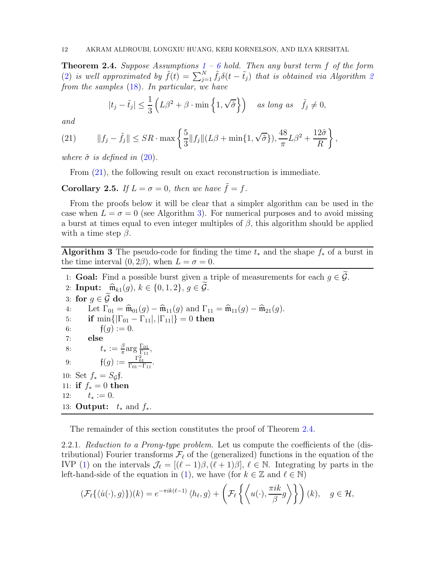<span id="page-11-0"></span>**Theorem 2.4.** Suppose Assumptions  $1 - 6$  $1 - 6$  $1 - 6$  hold. Then any burst term f of the form [\(2\)](#page-1-0) is well approximated by  $\tilde{f}(t) = \sum_{j=1}^{N} \tilde{f}_j \delta(t - \tilde{t}_j)$  that is obtained via Algorithm [2](#page-10-0) from the samples [\(18\)](#page-10-1). In particular, we have

$$
|t_j - \tilde{t}_j| \le \frac{1}{3} \left( L\beta^2 + \beta \cdot \min\left\{1, \sqrt{\tilde{\sigma}}\right\} \right) \quad \text{as long as} \quad \tilde{f}_j \ne 0,
$$

and

<span id="page-11-1"></span>(21) 
$$
||f_j - \tilde{f}_j|| \le SR \cdot \max\left\{\frac{5}{3}||f_j||(L\beta + \min\{1, \sqrt{\tilde{\sigma}}\}), \frac{48}{\pi}L\beta^2 + \frac{12\tilde{\sigma}}{R}\right\},\,
$$

where  $\tilde{\sigma}$  is defined in [\(20\)](#page-10-3).

From [\(21\)](#page-11-1), the following result on exact reconstruction is immediate.

**Corollary 2.5.** If  $L = \sigma = 0$ , then we have  $\tilde{f} = f$ .

From the proofs below it will be clear that a simpler algorithm can be used in the case when  $L = \sigma = 0$  (see Algorithm [3\)](#page-11-2). For numerical purposes and to avoid missing a burst at times equal to even integer multiples of  $\beta$ , this algorithm should be applied with a time step  $\beta$ .

<span id="page-11-2"></span>Algorithm 3 The pseudo-code for finding the time  $t_*$  and the shape  $f_*$  of a burst in the time interval  $(0, 2\beta)$ , when  $L = \sigma = 0$ .

1: **Goal:** Find a possible burst given a triple of measurements for each  $q \in \widetilde{G}$ .

2: **Input:**  $\widehat{\mathfrak{m}}_{k1}(g), k \in \{0,1,2\}, g \in \widetilde{\mathcal{G}}.$ 3: for  $g \in \tilde{G}$  do<br>4: Let  $\Gamma_{01} =$ 4: Let  $\Gamma_{01} = \widehat{\mathfrak{m}}_{01}(g) - \widehat{\mathfrak{m}}_{11}(g)$  and  $\Gamma_{11} = \widehat{\mathfrak{m}}_{11}(g) - \widehat{\mathfrak{m}}_{21}(g)$ .<br>5: **if** min{ $|\Gamma_{01} - \Gamma_{11}|, |\Gamma_{11}|$ } = 0 **then** 5: **if** min{ $|\Gamma_{01} - \Gamma_{11}|, |\Gamma_{11}|$ } = 0 **then**<br>6: **f**(*a*) := 0.  $f(q) := 0.$ 7: else 8:  $t_* := \frac{\beta}{\pi}$  $\frac{\beta}{\pi} \text{arg} \frac{\Gamma_{01}}{\Gamma_{11}},$ 9:  $f(g) := \frac{\Gamma_{01}^2}{\Gamma_{01} - \Gamma_{11}}$ . 10: Set  $f_* = S_{\mathcal{G}}f$ . 11: if  $f_* = 0$  then 12:  $t_* := 0.$ 13: **Output:**  $t_*$  and  $f_*$ .

The remainder of this section constitutes the proof of Theorem [2.4.](#page-11-0)

2.2.1. Reduction to a Prony-type problem. Let us compute the coefficients of the (distributional) Fourier transforms  $\mathcal{F}_{\ell}$  of the (generalized) functions in the equation of the IVP [\(1\)](#page-1-2) on the intervals  $\mathcal{J}_{\ell} = [(\ell-1)\beta, (\ell+1)\beta], \ell \in \mathbb{N}$ . Integrating by parts in the left-hand-side of the equation in [\(1\)](#page-1-2), we have (for  $k \in \mathbb{Z}$  and  $\ell \in \mathbb{N}$ )

$$
(\mathcal{F}_{\ell}\{\langle \dot{u}(\cdot), g \rangle\})(k) = e^{-\pi i k(\ell-1)} \langle h_{\ell}, g \rangle + \left(\mathcal{F}_{\ell}\left\{\left\langle u(\cdot), \frac{\pi i k}{\beta} g \right\rangle\right\}\right)(k), \quad g \in \mathcal{H},
$$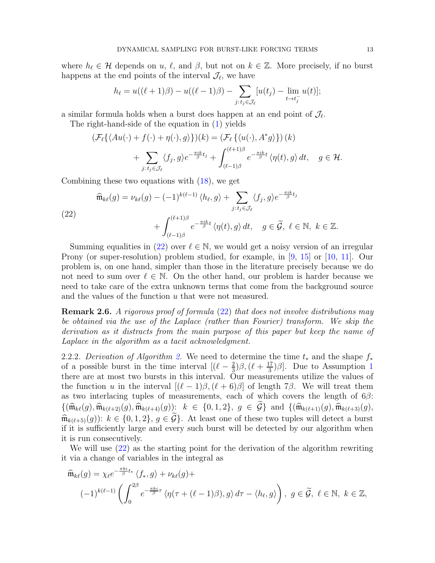where  $h_{\ell} \in \mathcal{H}$  depends on  $u, \ell$ , and  $\beta$ , but not on  $k \in \mathbb{Z}$ . More precisely, if no burst happens at the end points of the interval  $\mathcal{J}_{\ell}$ , we have

$$
h_{\ell} = u((\ell+1)\beta) - u((\ell-1)\beta) - \sum_{j:t_j \in \mathcal{J}_{\ell}} [u(t_j) - \lim_{t \to t_j^-} u(t)];
$$

a similar formula holds when a burst does happen at an end point of  $\mathcal{J}_{\ell}$ .

The right-hand-side of the equation in [\(1\)](#page-1-2) yields

$$
\begin{aligned} \left(\mathcal{F}_{\ell}\{\langle Au(\cdot)+f(\cdot)+\eta(\cdot),g\rangle\}\right)(k) &= \left(\mathcal{F}_{\ell}\{\langle u(\cdot),A^*g\rangle\}\right)(k) \\ &+ \sum_{j:t_j\in\mathcal{J}_{\ell}}\langle f_j,g\rangle e^{-\frac{\pi i k}{\beta}t_j} + \int_{(\ell-1)\beta}^{(\ell+1)\beta} e^{-\frac{\pi i k}{\beta}t} \langle \eta(t),g\rangle \,dt, \quad g\in\mathcal{H}. \end{aligned}
$$

Combining these two equations with [\(18\)](#page-10-1), we get

<span id="page-12-0"></span>(22)  
\n
$$
\widehat{\mathfrak{m}}_{k\ell}(g) = \nu_{k\ell}(g) - (-1)^{k(\ell-1)} \langle h_{\ell}, g \rangle + \sum_{j:\, t_j \in \mathcal{J}_{\ell}} \langle f_j, g \rangle e^{-\frac{\pi i k}{\beta} t_j} + \int_{(\ell-1)\beta}^{(\ell+1)\beta} e^{-\frac{\pi i k}{\beta} t} \langle \eta(t), g \rangle dt, \quad g \in \widetilde{\mathcal{G}}, \ \ell \in \mathbb{N}, \ k \in \mathbb{Z}.
$$

Summing equalities in [\(22\)](#page-12-0) over  $\ell \in \mathbb{N}$ , we would get a noisy version of an irregular Prony (or super-resolution) problem studied, for example, in [\[9,](#page-24-6) [15\]](#page-24-5) or [\[10,](#page-24-7) [11\]](#page-24-8). Our problem is, on one hand, simpler than those in the literature precisely because we do not need to sum over  $\ell \in \mathbb{N}$ . On the other hand, our problem is harder because we need to take care of the extra unknown terms that come from the background source and the values of the function u that were not measured.

Remark 2.6. A rigorous proof of formula [\(22\)](#page-12-0) that does not involve distributions may be obtained via the use of the Laplace (rather than Fourier) transform. We skip the derivation as it distracts from the main purpose of this paper but keep the name of Laplace in the algorithm as a tacit acknowledgment.

[2.](#page-10-0)2.2. Derivation of Algorithm 2. We need to determine the time  $t_*$  and the shape  $f_*$ of a possible burst in the time interval  $\left[ (\ell - \frac{2}{3}) \right]$  $(\frac{2}{3})\beta$ ,  $(\ell + \frac{17}{3})$  $\frac{17}{3}$  $\frac{17}{3}$  $\frac{17}{3}$  $\beta$ . Due to Assumption 1 there are at most two bursts in this interval. Our measurements utilize the values of the function u in the interval  $[(\ell-1)\beta, (\ell+6)\beta]$  of length 7 $\beta$ . We will treat them as two interlacing tuples of measurements, each of which covers the length of  $6\beta$ :  $\{(\widehat{\mathfrak{m}}_{k\ell}(g), \widehat{\mathfrak{m}}_{k(\ell+2)}(g), \widehat{\mathfrak{m}}_{k(\ell+4)}(g))\colon k \in \{0,1,2\}, g \in \mathcal{G}\}\$ and  $\{(\widehat{\mathfrak{m}}_{k(\ell+1)}(g), \widehat{\mathfrak{m}}_{k(\ell+3)}(g), g)\}$  $\widehat{\mathfrak{m}}_{k(\ell+5)}(g)$ :  $k \in \{0,1,2\}, g \in \widetilde{\mathcal{G}}\}$ . At least one of these two tuples will detect a burst if it is sufficiently large and every such burst will be detected by our algorithm when it is run consecutively.

We will use [\(22\)](#page-12-0) as the starting point for the derivation of the algorithm rewriting it via a change of variables in the integral as

$$
\widehat{\mathfrak{m}}_{k\ell}(g) = \chi_{\ell}e^{-\frac{\pi k i}{\beta}t_{*}}\langle f_{*}, g \rangle + \nu_{k\ell}(g) +
$$
\n
$$
(-1)^{k(\ell-1)}\left(\int_{0}^{2\beta} e^{-\frac{\pi k i}{\beta}\tau}\langle \eta(\tau+(\ell-1)\beta), g \rangle d\tau - \langle h_{\ell}, g \rangle\right), \ g \in \widetilde{\mathcal{G}}, \ \ell \in \mathbb{N}, \ k \in \mathbb{Z},
$$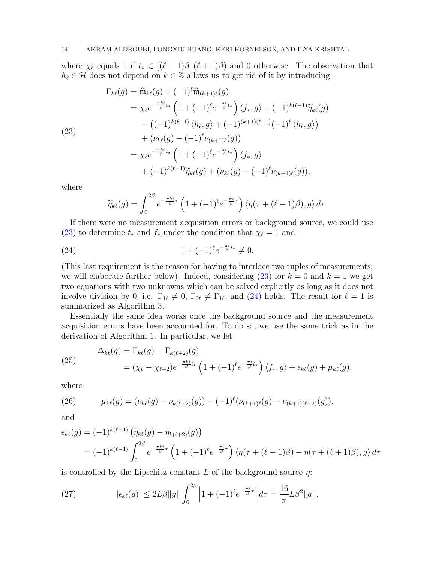where  $\chi_{\ell}$  equals 1 if  $t_* \in [(\ell-1)\beta, (\ell+1)\beta)$  and 0 otherwise. The observation that  $h_{\ell} \in \mathcal{H}$  does not depend on  $k \in \mathbb{Z}$  allows us to get rid of it by introducing

<span id="page-13-0"></span>(23)  
\n
$$
\Gamma_{k\ell}(g) = \widehat{\mathfrak{m}}_{k\ell}(g) + (-1)^{\ell} \widehat{\mathfrak{m}}_{(k+1)\ell}(g)
$$
\n
$$
= \chi_{\ell} e^{-\frac{\pi k i}{\beta} t_{*}} \left( 1 + (-1)^{\ell} e^{-\frac{\pi i}{\beta} t_{*}} \right) \langle f_{*}, g \rangle + (-1)^{k(\ell-1)} \widetilde{\eta}_{k\ell}(g)
$$
\n
$$
- \left( (-1)^{k(\ell-1)} \langle h_{\ell}, g \rangle + (-1)^{(k+1)(\ell-1)} (-1)^{\ell} \langle h_{\ell}, g \rangle \right)
$$
\n
$$
+ (\nu_{k\ell}(g) - (-1)^{\ell} \nu_{(k+1)\ell}(g))
$$
\n
$$
= \chi_{\ell} e^{-\frac{\pi k i}{\beta} t_{*}} \left( 1 + (-1)^{\ell} e^{-\frac{\pi i}{\beta} t_{*}} \right) \langle f_{*}, g \rangle
$$
\n
$$
+ (-1)^{k(\ell-1)} \widetilde{\eta}_{k\ell}(g) + (\nu_{k\ell}(g) - (-1)^{\ell} \nu_{(k+1)\ell}(g)),
$$

where

<span id="page-13-1"></span>
$$
\widetilde{\eta}_{k\ell}(g) = \int_0^{2\beta} e^{-\frac{\pi k i}{\beta}\tau} \left(1 + (-1)^{\ell} e^{-\frac{\pi i}{\beta}\tau}\right) \langle \eta(\tau + (\ell - 1)\beta), g \rangle d\tau.
$$

If there were no measurement acquisition errors or background source, we could use [\(23\)](#page-13-0) to determine  $t_*$  and  $f_*$  under the condition that  $\chi_{\ell} = 1$  and

(24) 
$$
1 + (-1)^{\ell} e^{-\frac{\pi i}{\beta}t_*} \neq 0.
$$

(This last requirement is the reason for having to interlace two tuples of measurements; we will elaborate further below). Indeed, considering [\(23\)](#page-13-0) for  $k = 0$  and  $k = 1$  we get two equations with two unknowns which can be solved explicitly as long as it does not involve division by 0, i.e.  $\Gamma_{1\ell} \neq 0$ ,  $\Gamma_{0\ell} \neq \Gamma_{1\ell}$ , and [\(24\)](#page-13-1) holds. The result for  $\ell = 1$  is summarized as Algorithm [3.](#page-11-2)

Essentially the same idea works once the background source and the measurement acquisition errors have been accounted for. To do so, we use the same trick as in the derivation of Algorithm [1.](#page-5-0) In particular, we let

<span id="page-13-3"></span>(25) 
$$
\Delta_{k\ell}(g) = \Gamma_{k\ell}(g) - \Gamma_{k(\ell+2)}(g)
$$

$$
= (\chi_{\ell} - \chi_{\ell+2})e^{-\frac{\pi k i}{\beta}t_*} \left(1 + (-1)^{\ell}e^{-\frac{\pi i}{\beta}t_*}\right) \langle f_*, g \rangle + \epsilon_{k\ell}(g) + \mu_{k\ell}(g),
$$

where

<span id="page-13-2"></span>(26) 
$$
\mu_{k\ell}(g) = (\nu_{k\ell}(g) - \nu_{k(\ell+2)}(g)) - (-1)^{\ell}(\nu_{(k+1)\ell}(g) - \nu_{(k+1)(\ell+2)}(g)),
$$

and

$$
\epsilon_{k\ell}(g) = (-1)^{k(\ell-1)} \left( \widetilde{\eta}_{k\ell}(g) - \widetilde{\eta}_{k(\ell+2)}(g) \right)
$$
  
=  $(-1)^{k(\ell-1)} \int_0^{2\beta} e^{-\frac{\pi k i}{\beta}\tau} \left( 1 + (-1)^{\ell} e^{-\frac{\pi i}{\beta}\tau} \right) \langle \eta(\tau + (\ell-1)\beta) - \eta(\tau + (\ell+1)\beta), g \rangle d\tau$ 

is controlled by the Lipschitz constant L of the background source  $\eta$ :

<span id="page-13-4"></span>(27) 
$$
|\epsilon_{k\ell}(g)| \le 2L\beta \|g\| \int_0^{2\beta} \left|1 + (-1)^{\ell} e^{-\frac{\pi i}{\beta}\tau} \right| d\tau = \frac{16}{\pi} L\beta^2 \|g\|.
$$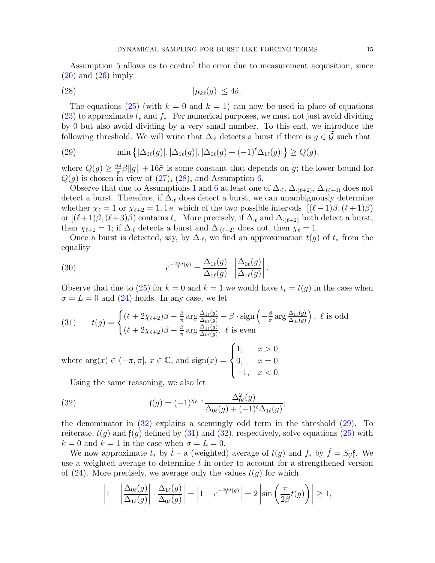Assumption [5](#page-3-1) allows us to control the error due to measurement acquisition, since  $(20)$  and  $(26)$  imply

<span id="page-14-0"></span>
$$
|\mu_{k\ell}(g)| \le 4\tilde{\sigma}.
$$

The equations [\(25\)](#page-13-3) (with  $k = 0$  and  $k = 1$ ) can now be used in place of equations [\(23\)](#page-13-0) to approximate  $t_*$  and  $f_*$ . For numerical purposes, we must not just avoid dividing by 0 but also avoid dividing by a very small number. To this end, we introduce the following threshold. We will write that  $\Delta_{\ell}$  detects a burst if there is  $g \in \mathcal{G}$  such that

<span id="page-14-2"></span>(29) 
$$
\min\left\{|\Delta_{0\ell}(g)|,|\Delta_{1\ell}(g)|,|\Delta_{0\ell}(g)+(-1)^{\ell}\Delta_{1\ell}(g)|\right\}\geq Q(g),
$$

where  $Q(g) \geq \frac{64}{\pi}$  $\frac{d^{34}}{\pi} \beta \|g\| + 16\tilde{\sigma}$  is some constant that depends on g; the lower bound for  $Q(g)$  is chosen in view of [\(27\)](#page-13-4), [\(28\)](#page-14-0), and Assumption [6.](#page-3-4)

Observe that due to Assumptions [1](#page-2-1) and [6](#page-3-4) at least one of  $\Delta_{\ell}, \Delta_{(\ell+2)}, \Delta_{(\ell+4)}$  does not detect a burst. Therefore, if  $\Delta_{\ell}$  does detect a burst, we can unambiguously determine whether  $\chi_{\ell} = 1$  or  $\chi_{\ell+2} = 1$ , i.e. which of the two possible intervals  $[(\ell-1)\beta, (\ell+1)\beta]$ or  $[(\ell+1)\beta,(\ell+3)\beta)$  contains  $t_*$ . More precisely, if  $\Delta_{\ell}$  and  $\Delta_{(\ell+2)}$  both detect a burst, then  $\chi_{\ell+2} = 1$ ; if  $\Delta_{\ell}$  detects a burst and  $\Delta_{\ell+2}$  does not, then  $\chi_{\ell} = 1$ .

Once a burst is detected, say, by  $\Delta_{\ell}$ , we find an approximation  $t(g)$  of  $t_*$  from the equality

<span id="page-14-4"></span>(30) 
$$
e^{-\frac{\pi i}{\beta}t(g)} = \frac{\Delta_{1\ell}(g)}{\Delta_{0\ell}(g)} \cdot \left| \frac{\Delta_{0\ell}(g)}{\Delta_{1\ell}(g)} \right|.
$$

Observe that due to [\(25\)](#page-13-3) for  $k = 0$  and  $k = 1$  we would have  $t_* = t(g)$  in the case when  $\sigma = L = 0$  and [\(24\)](#page-13-1) holds. In any case, we let

<span id="page-14-3"></span>(31) 
$$
t(g) = \begin{cases} (\ell + 2\chi_{\ell+2})\beta - \frac{\beta}{\pi} \arg \frac{\Delta_{1\ell}(g)}{\Delta_{0\ell}(g)} - \beta \cdot \text{sign}\left(-\frac{\beta}{\pi} \arg \frac{\Delta_{1\ell}(g)}{\Delta_{0\ell}(g)}\right), & \ell \text{ is odd} \\ (\ell + 2\chi_{\ell+2})\beta - \frac{\beta}{\pi} \arg \frac{\Delta_{1\ell}(g)}{\Delta_{0\ell}(g)}, & \ell \text{ is even} \end{cases}
$$

where  $\arg(x) \in (-\pi, \pi]$ ,  $x \in \mathbb{C}$ , and  $\text{sign}(x) =$  $\sqrt{ }$  $\int$  $\overline{\mathcal{L}}$ 1,  $x > 0$ ;  $0, \, x = 0;$  $-1, \quad x < 0.$ 

<span id="page-14-1"></span>Using the same reasoning, we also let

(32) 
$$
\mathfrak{f}(g) = (-1)^{\chi_{\ell+2}} \frac{\Delta_{0\ell}^2(g)}{\Delta_{0\ell}(g) + (-1)^{\ell} \Delta_{1\ell}(g)};
$$

the denominator in [\(32\)](#page-14-1) explains a seemingly odd term in the threshold [\(29\)](#page-14-2). To reiterate,  $t(g)$  and  $f(g)$  defined by [\(31\)](#page-14-3) and [\(32\)](#page-14-1), respectively, solve equations [\(25\)](#page-13-3) with  $k = 0$  and  $k = 1$  in the case when  $\sigma = L = 0$ .

We now approximate  $t_*$  by  $\tilde{t}$  – a (weighted) average of  $t(g)$  and  $f_*$  by  $\tilde{f} = S_g f$ . We use a weighted average to determine  $\tilde{t}$  in order to account for a strengthened version of  $(24)$ . More precisely, we average only the values  $t(q)$  for which

$$
\left|1 - \left|\frac{\Delta_{0\ell}(g)}{\Delta_{1\ell}(g)}\right| \cdot \frac{\Delta_{1\ell}(g)}{\Delta_{0\ell}(g)}\right| = \left|1 - e^{-\frac{\pi i}{\beta}t(g)}\right| = 2\left|\sin\left(\frac{\pi}{2\beta}t(g)\right)\right| \ge 1,
$$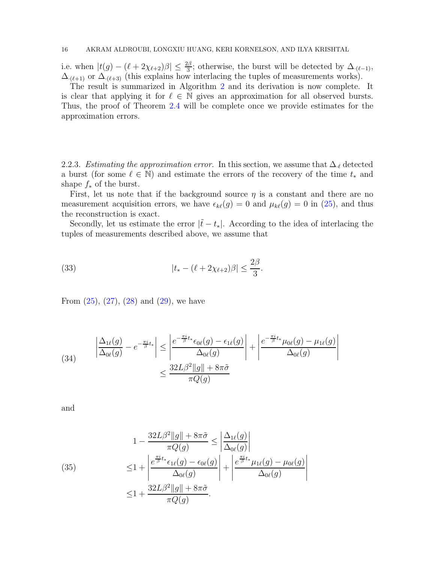i.e. when  $|t(g) - (\ell + 2\chi_{\ell+2})\beta| \leq \frac{2\beta}{3}$ ; otherwise, the burst will be detected by  $\Delta_{(\ell-1)}$ ,  $\Delta_{(\ell+1)}$  or  $\Delta_{(\ell+3)}$  (this explains how interlacing the tuples of measurements works).

The result is summarized in Algorithm [2](#page-10-0) and its derivation is now complete. It is clear that applying it for  $\ell \in \mathbb{N}$  gives an approximation for all observed bursts. Thus, the proof of Theorem [2.4](#page-11-0) will be complete once we provide estimates for the approximation errors.

2.2.3. Estimating the approximation error. In this section, we assume that  $\Delta_{\ell}$  detected a burst (for some  $\ell \in \mathbb{N}$ ) and estimate the errors of the recovery of the time  $t_*$  and shape  $f_*$  of the burst.

First, let us note that if the background source  $\eta$  is a constant and there are no measurement acquisition errors, we have  $\epsilon_{k\ell}(g) = 0$  and  $\mu_{k\ell}(g) = 0$  in [\(25\)](#page-13-3), and thus the reconstruction is exact.

Secondly, let us estimate the error  $|\tilde{t} - t_*|$ . According to the idea of interlacing the tuples of measurements described above, we assume that

<span id="page-15-1"></span>(33) 
$$
|t_{*} - (\ell + 2\chi_{\ell+2})\beta| \leq \frac{2\beta}{3}.
$$

From  $(25)$ ,  $(27)$ ,  $(28)$  and  $(29)$ , we have

<span id="page-15-0"></span>(34) 
$$
\left| \frac{\Delta_{1\ell}(g)}{\Delta_{0\ell}(g)} - e^{-\frac{\pi i}{\beta}t_*} \right| \le \left| \frac{e^{-\frac{\pi i}{\beta}t_*} \epsilon_{0\ell}(g) - \epsilon_{1\ell}(g)}{\Delta_{0\ell}(g)} \right| + \left| \frac{e^{-\frac{\pi i}{\beta}t_*} \mu_{0\ell}(g) - \mu_{1\ell}(g)}{\Delta_{0\ell}(g)} \right|
$$

$$
\le \frac{32L\beta^2 \|g\| + 8\pi\tilde{\sigma}}{\pi Q(g)}
$$

and

(35)  
\n
$$
1 - \frac{32L\beta^2||g|| + 8\pi\tilde{\sigma}}{\pi Q(g)} \le \left| \frac{\Delta_{1\ell}(g)}{\Delta_{0\ell}(g)} \right|
$$
\n
$$
\le 1 + \left| \frac{e^{\frac{\pi i}{\beta}t_*}\epsilon_{1\ell}(g) - \epsilon_{0\ell}(g)}{\Delta_{0\ell}(g)} \right| + \left| \frac{e^{\frac{\pi i}{\beta}t_*}\mu_{1\ell}(g) - \mu_{0\ell}(g)}{\Delta_{0\ell}(g)} \right|
$$
\n
$$
\le 1 + \frac{32L\beta^2||g|| + 8\pi\tilde{\sigma}}{\pi Q(g)}.
$$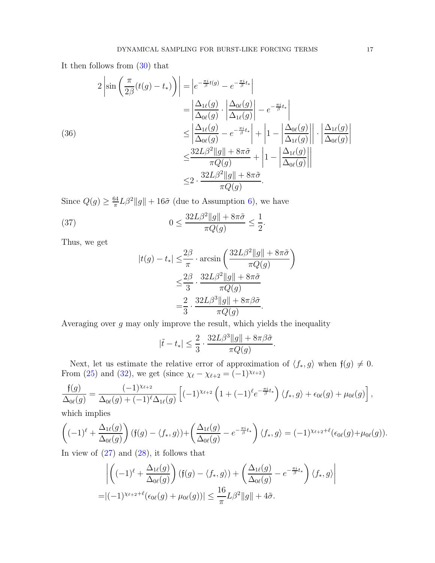It then follows from [\(30\)](#page-14-4) that

$$
2\left|\sin\left(\frac{\pi}{2\beta}(t(g)-t_*)\right)\right| = \left|e^{-\frac{\pi i}{\beta}t(g)} - e^{-\frac{\pi i}{\beta}t_*}\right|
$$
  
\n
$$
= \left|\frac{\Delta_{1\ell}(g)}{\Delta_{0\ell}(g)} \cdot \left|\frac{\Delta_{0\ell}(g)}{\Delta_{1\ell}(g)}\right| - e^{-\frac{\pi i}{\beta}t_*}\right|
$$
  
\n
$$
\leq \left|\frac{\Delta_{1\ell}(g)}{\Delta_{0\ell}(g)} - e^{-\frac{\pi i}{\beta}t_*}\right| + \left|1 - \left|\frac{\Delta_{0\ell}(g)}{\Delta_{1\ell}(g)}\right|\right| \cdot \left|\frac{\Delta_{1\ell}(g)}{\Delta_{0\ell}(g)}\right|
$$
  
\n
$$
\leq \frac{32L\beta^2\|g\| + 8\pi\tilde{\sigma}}{\pi Q(g)} + \left|1 - \left|\frac{\Delta_{1\ell}(g)}{\Delta_{0\ell}(g)}\right|\right|
$$
  
\n
$$
\leq 2 \cdot \frac{32L\beta^2\|g\| + 8\pi\tilde{\sigma}}{\pi Q(g)}.
$$

Since  $Q(g) \geq \frac{64}{\pi}$  $\frac{34}{\pi}L\beta^2||g|| + 16\tilde{\sigma}$  (due to Assumption [6\)](#page-3-4), we have

(37) 
$$
0 \le \frac{32L\beta^2\|g\| + 8\pi\tilde{\sigma}}{\pi Q(g)} \le \frac{1}{2}.
$$

Thus, we get

<span id="page-16-0"></span>
$$
|t(g) - t_*| \leq \frac{2\beta}{\pi} \cdot \arcsin\left(\frac{32L\beta^2||g|| + 8\pi\tilde{\sigma}}{\pi Q(g)}\right)
$$
  

$$
\leq \frac{2\beta}{3} \cdot \frac{32L\beta^2||g|| + 8\pi\tilde{\sigma}}{\pi Q(g)}
$$
  

$$
= \frac{2}{3} \cdot \frac{32L\beta^3||g|| + 8\pi\beta\tilde{\sigma}}{\pi Q(g)}.
$$

Averaging over  $g$  may only improve the result, which yields the inequality

$$
|\tilde{t} - t_*| \le \frac{2}{3} \cdot \frac{32L\beta^3 ||g|| + 8\pi\beta\tilde{\sigma}}{\pi Q(g)}.
$$

Next, let us estimate the relative error of approximation of  $\langle f_*, g \rangle$  when  $f(g) \neq 0$ . From [\(25\)](#page-13-3) and [\(32\)](#page-14-1), we get (since  $\chi_{\ell} - \chi_{\ell+2} = (-1)^{\chi_{\ell+2}}$ )

$$
\frac{f(g)}{\Delta_{0\ell}(g)} = \frac{(-1)^{\chi_{\ell+2}}}{\Delta_{0\ell}(g) + (-1)^{\ell} \Delta_{1\ell}(g)} \left[ (-1)^{\chi_{\ell+2}} \left( 1 + (-1)^{\ell} e^{-\frac{\pi i}{\beta} t_*} \right) \langle f_*, g \rangle + \epsilon_{0\ell}(g) + \mu_{0\ell}(g) \right],
$$

which implies

$$
\left((-1)^{\ell} + \frac{\Delta_{1\ell}(g)}{\Delta_{0\ell}(g)}\right)(\mathfrak{f}(g) - \langle f_*, g \rangle) + \left(\frac{\Delta_{1\ell}(g)}{\Delta_{0\ell}(g)} - e^{-\frac{\pi i}{\beta}t_*}\right)\langle f_*, g \rangle = (-1)^{\chi_{\ell+2}+\ell}(\epsilon_{0\ell}(g) + \mu_{0\ell}(g)).
$$

In view of  $(27)$  and  $(28)$ , it follows that

$$
\left| \left( (-1)^{\ell} + \frac{\Delta_{1\ell}(g)}{\Delta_{0\ell}(g)} \right) (f(g) - \langle f_*, g \rangle) + \left( \frac{\Delta_{1\ell}(g)}{\Delta_{0\ell}(g)} - e^{-\frac{\pi i}{\beta}t_*} \right) \langle f_*, g \rangle \right|
$$
  
=  $|(-1)^{\chi_{\ell+2}+\ell} ( \epsilon_{0\ell}(g) + \mu_{0\ell}(g)) | \le \frac{16}{\pi} L\beta^2 \|g\| + 4\tilde{\sigma}.$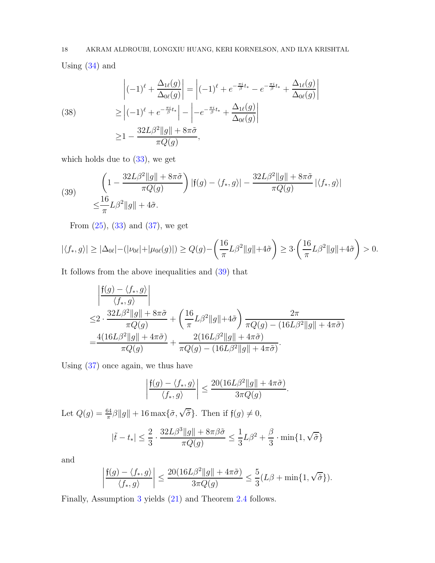Using  $(34)$  and

(38) 
$$
\begin{aligned}\n\left|(-1)^{\ell} + \frac{\Delta_{1\ell}(g)}{\Delta_{0\ell}(g)}\right| &= \left|(-1)^{\ell} + e^{-\frac{\pi i}{\beta}t_{*}} - e^{-\frac{\pi i}{\beta}t_{*}} + \frac{\Delta_{1\ell}(g)}{\Delta_{0\ell}(g)}\right| \\
&\geq \left|(-1)^{\ell} + e^{-\frac{\pi i}{\beta}t_{*}}\right| - \left| -e^{-\frac{\pi i}{\beta}t_{*}} + \frac{\Delta_{1\ell}(g)}{\Delta_{0\ell}(g)}\right| \\
&\geq 1 - \frac{32L\beta^{2}||g|| + 8\pi\tilde{\sigma}}{\pi Q(g)},\n\end{aligned}
$$

which holds due to [\(33\)](#page-15-1), we get

<span id="page-17-0"></span>(39) 
$$
\left(1 - \frac{32L\beta^2\|g\| + 8\pi\tilde{\sigma}}{\pi Q(g)}\right) |\mathfrak{f}(g) - \langle f_*, g \rangle| - \frac{32L\beta^2\|g\| + 8\pi\tilde{\sigma}}{\pi Q(g)} |\langle f_*, g \rangle|
$$

$$
\leq \frac{16}{\pi} L\beta^2 \|g\| + 4\tilde{\sigma}.
$$

From  $(25)$ ,  $(33)$  and  $(37)$ , we get

$$
|\langle f_*, g \rangle| \geq |\Delta_{0\ell}| - (|\nu_{0\ell}| + |\mu_{0\ell}(g)|) \geq Q(g) - \left(\frac{16}{\pi}L\beta^2 \|g\| + 4\tilde{\sigma}\right) \geq 3 \cdot \left(\frac{16}{\pi}L\beta^2 \|g\| + 4\tilde{\sigma}\right) > 0.
$$

It follows from the above inequalities and [\(39\)](#page-17-0) that

$$
\begin{aligned}\n&\left|\frac{f(g) - \langle f_*, g \rangle}{\langle f_*, g \rangle}\right| \\
&\leq 2 \cdot \frac{32L\beta^2 \|g\| + 8\pi\tilde{\sigma}}{\pi Q(g)} + \left(\frac{16}{\pi} L\beta^2 \|g\| + 4\tilde{\sigma}\right) \frac{2\pi}{\pi Q(g) - (16L\beta^2 \|g\| + 4\pi\tilde{\sigma})} \\
&= \frac{4(16L\beta^2 \|g\| + 4\pi\tilde{\sigma})}{\pi Q(g)} + \frac{2(16L\beta^2 \|g\| + 4\pi\tilde{\sigma})}{\pi Q(g) - (16L\beta^2 \|g\| + 4\pi\tilde{\sigma})}.\n\end{aligned}
$$

Using [\(37\)](#page-16-0) once again, we thus have

$$
\left|\frac{\mathfrak f(g) - \langle f_*, g\rangle}{\langle f_*, g\rangle}\right| \leq \frac{20(16L\beta^2\|g\|+4\pi\tilde\sigma)}{3\pi Q(g)}.
$$

Let  $Q(g) = \frac{64}{\pi}\beta ||g|| + 16 \max{\{\tilde{\sigma}, \sqrt{\tilde{\sigma}}\}}$ . Then if  $\mathfrak{f}(g) \neq 0$ ,

$$
|\tilde t - t_*| \le \frac{2}{3} \cdot \frac{32 L \beta^3\|g\|+8\pi\beta\tilde\sigma }{\pi Q(g) }\le \frac{1}{3} L \beta^2+ \frac{\beta}{3} \cdot \min\{1, \sqrt{\tilde\sigma}\}
$$

and

$$
\left|\frac{\mathfrak f(g) - \langle f_*, g\rangle}{\langle f_*, g\rangle}\right|\leq \frac{20(16 L \beta^2\|g\|+4\pi \tilde\sigma)}{3\pi Q(g)}\leq \frac{5}{3}(L\beta+\min\{1,\sqrt{\tilde\sigma}\}).
$$

Finally, Assumption [3](#page-3-3) yields [\(21\)](#page-11-1) and Theorem [2.4](#page-11-0) follows.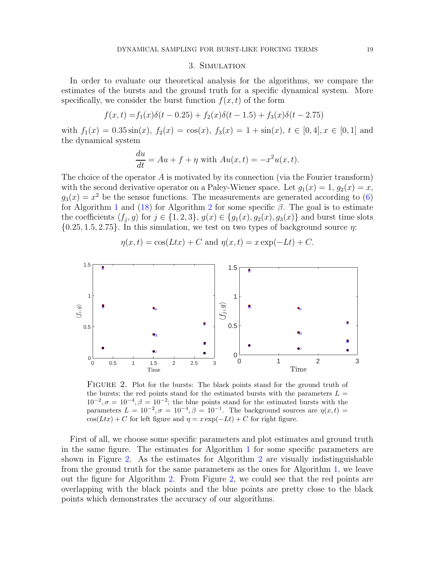# 3. Simulation

<span id="page-18-0"></span>In order to evaluate our theoretical analysis for the algorithms, we compare the estimates of the bursts and the ground truth for a specific dynamical system. More specifically, we consider the burst function  $f(x, t)$  of the form

$$
f(x,t) = f_1(x)\delta(t - 0.25) + f_2(x)\delta(t - 1.5) + f_3(x)\delta(t - 2.75)
$$

with  $f_1(x) = 0.35 \sin(x)$ ,  $f_2(x) = \cos(x)$ ,  $f_3(x) = 1 + \sin(x)$ ,  $t \in [0, 4]$ ,  $x \in [0, 1]$  and the dynamical system

$$
\frac{du}{dt} = Au + f + \eta \text{ with } Au(x, t) = -x^2 u(x, t).
$$

The choice of the operator  $A$  is motivated by its connection (via the Fourier transform) with the second derivative operator on a Paley-Wiener space. Let  $g_1(x) = 1$ ,  $g_2(x) = x$ ,  $g_3(x) = x^2$  be the sensor functions. The measurements are generated according to [\(6\)](#page-5-3) for Algorithm [1](#page-5-0) and [\(18\)](#page-10-1) for Algorithm [2](#page-10-0) for some specific  $\beta$ . The goal is to estimate the coefficients  $\langle f_j, g \rangle$  for  $j \in \{1, 2, 3\}, g(x) \in \{g_1(x), g_2(x), g_3(x)\}\$  and burst time slots  ${0.25, 1.5, 2.75}$ . In this simulation, we test on two types of background source  $\eta$ :

<span id="page-18-1"></span>

$$
\eta(x,t) = \cos(Ltx) + C \text{ and } \eta(x,t) = x \exp(-Lt) + C.
$$

FIGURE 2. Plot for the bursts: The black points stand for the ground truth of the bursts; the red points stand for the estimated bursts with the parameters  $L =$  $10^{-2}$ ,  $\sigma = 10^{-4}$ ,  $\beta = 10^{-2}$ ; the blue points stand for the estimated bursts with the parameters  $L = 10^{-2}, \sigma = 10^{-4}, \beta = 10^{-1}$ . The background sources are  $\eta(x, t) =$  $cos(Ltx) + C$  for left figure and  $\eta = x \exp(-Lt) + C$  for right figure.

First of all, we choose some specific parameters and plot estimates and ground truth in the same figure. The estimates for Algorithm [1](#page-5-0) for some specific parameters are shown in Figure [2.](#page-18-1) As the estimates for Algorithm [2](#page-10-0) are visually indistinguishable from the ground truth for the same parameters as the ones for Algorithm [1,](#page-5-0) we leave out the figure for Algorithm [2.](#page-10-0) From Figure [2,](#page-18-1) we could see that the red points are overlapping with the black points and the blue points are pretty close to the black points which demonstrates the accuracy of our algorithms.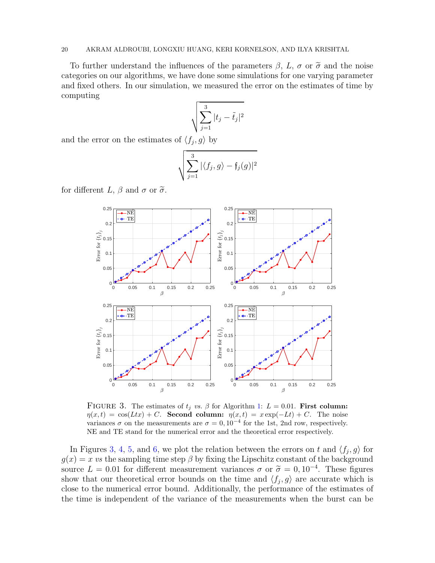# 20 AKRAM ALDROUBI, LONGXIU HUANG, KERI KORNELSON, AND ILYA KRISHTAL

To further understand the influences of the parameters  $\beta$ , L,  $\sigma$  or  $\tilde{\sigma}$  and the noise categories on our algorithms, we have done some simulations for one varying parameter and fixed others. In our simulation, we measured the error on the estimates of time by computing

$$
\sqrt{\sum_{j=1}^3|t_j-\tilde{t}_j|^2}
$$

and the error on the estimates of  $\langle f_j, g \rangle$  by

$$
\sqrt{\sum_{j=1}^3 |\langle f_j, g \rangle - f_j(g)|^2}
$$

<span id="page-19-0"></span>for different L,  $\beta$  and  $\sigma$  or  $\tilde{\sigma}$ .



FIGURE 3. The estimates of  $t_j$  vs.  $\beta$  for Algorithm [1:](#page-5-0)  $L = 0.01$ . First column:  $\eta(x,t) = \cos(Ltx) + C$ . Second column:  $\eta(x,t) = x \exp(-Lt) + C$ . The noise variances  $\sigma$  on the measurements are  $\sigma = 0, 10^{-4}$  for the 1st, 2nd row, respectively. NE and TE stand for the numerical error and the theoretical error respectively.

In Figures [3,](#page-19-0) [4,](#page-20-0) [5,](#page-21-0) and [6,](#page-21-1) we plot the relation between the errors on t and  $\langle f_j, g \rangle$  for  $g(x) = x$  vs the sampling time step  $\beta$  by fixing the Lipschitz constant of the background source  $L = 0.01$  for different measurement variances  $\sigma$  or  $\tilde{\sigma} = 0, 10^{-4}$ . These figures show that our theoretical error bounds on the time and  $\langle f_j, g \rangle$  are accurate which is close to the numerical error bound. Additionally, the performance of the estimates of the time is independent of the variance of the measurements when the burst can be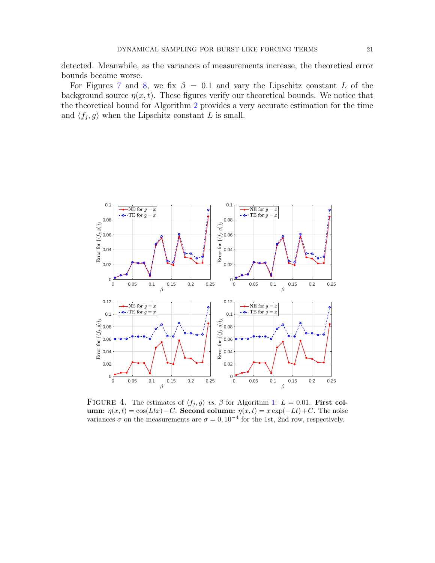detected. Meanwhile, as the variances of measurements increase, the theoretical error bounds become worse.

For Figures [7](#page-22-0) and [8,](#page-23-6) we fix  $\beta = 0.1$  and vary the Lipschitz constant L of the background source  $\eta(x, t)$ . These figures verify our theoretical bounds. We notice that the theoretical bound for Algorithm [2](#page-10-0) provides a very accurate estimation for the time and  $\langle f_j, g \rangle$  when the Lipschitz constant L is small.

<span id="page-20-0"></span>

FIGURE 4. The estimates of  $\langle f_j, g \rangle$  vs. β for Algorithm [1:](#page-5-0)  $L = 0.01$ . First column:  $\eta(x,t) = \cos(Ltx) + C$ . Second column:  $\eta(x,t) = x \exp(-Lt) + C$ . The noise variances  $\sigma$  on the measurements are  $\sigma = 0, 10^{-4}$  for the 1st, 2nd row, respectively.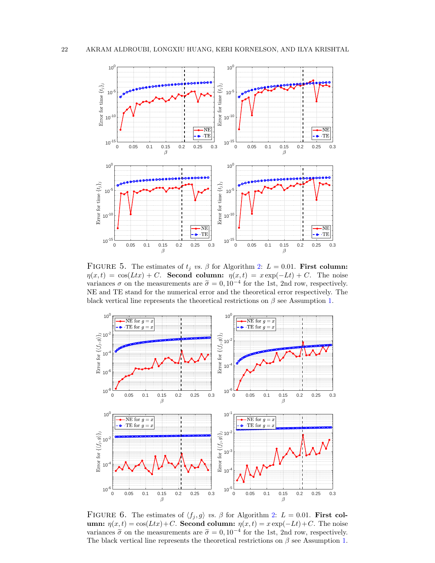<span id="page-21-0"></span>

FIGURE 5. The estimates of  $t_j$  vs.  $\beta$  for Algorithm [2:](#page-10-0)  $L = 0.01$ . First column:  $\eta(x,t) = \cos(Ltx) + C$ . Second column:  $\eta(x,t) = x \exp(-Lt) + C$ . The noise variances  $\sigma$  on the measurements are  $\tilde{\sigma} = 0, 10^{-4}$  for the 1st, 2nd row, respectively. NE and TE stand for the numerical error and the theoretical error respectively. The black vertical line represents the theoretical restrictions on  $\beta$  see Assumption [1.](#page-2-1)

<span id="page-21-1"></span>

FIGURE 6. The estimates of  $\langle f_j, g \rangle$  vs. β for Algorithm [2:](#page-10-0)  $L = 0.01$ . First column:  $\eta(x,t) = \cos(Ltx) + C$ . Second column:  $\eta(x,t) = x \exp(-Lt) + C$ . The noise variances  $\tilde{\sigma}$  on the measurements are  $\tilde{\sigma} = 0, 10^{-4}$  for the 1st, 2nd row, respectively. The black vertical line represents the theoretical restrictions on  $\beta$  see Assumption [1.](#page-2-1)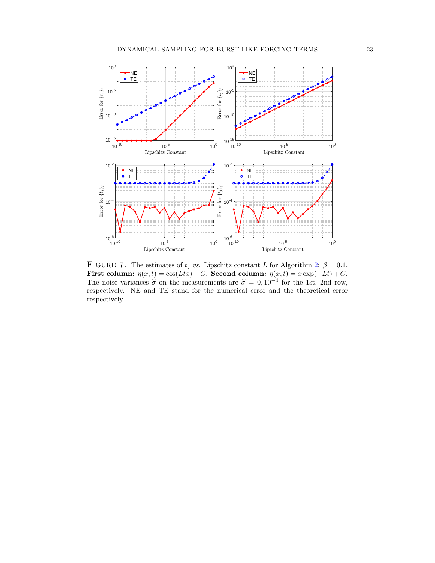<span id="page-22-0"></span>

FIGURE 7. The estimates of  $t_j$  vs. Lipschitz constant L for Algorithm [2:](#page-10-0)  $\beta = 0.1$ . First column:  $\eta(x,t) = \cos(Ltx) + C$ . Second column:  $\eta(x,t) = x \exp(-Lt) + C$ . The noise variances  $\tilde{\sigma}$  on the measurements are  $\tilde{\sigma} = 0, 10^{-4}$  for the 1st, 2nd row, respectively. NE and TE stand for the numerical error and the theoretical error respectively.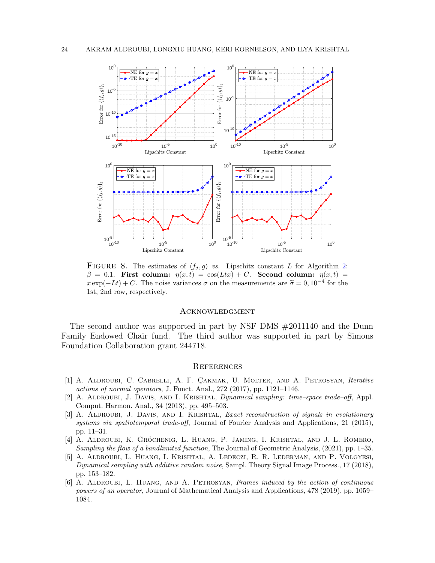<span id="page-23-6"></span>

FIGURE 8. The estimates of  $\langle f_j, g \rangle$  vs. Lipschitz constant L for Algorithm [2:](#page-10-0)  $\beta = 0.1$ . First column:  $\eta(x,t) = \cos(Ltx) + C$ . Second column:  $\eta(x,t) =$  $x \exp(-Lt) + C$ . The noise variances  $\sigma$  on the measurements are  $\tilde{\sigma} = 0, 10^{-4}$  for the 1st, 2nd row, respectively.

# **ACKNOWLEDGMENT**

The second author was supported in part by NSF DMS #2011140 and the Dunn Family Endowed Chair fund. The third author was supported in part by Simons Foundation Collaboration grant 244718.

# **REFERENCES**

- <span id="page-23-0"></span>[1] A. ALDROUBI, C. CABRELLI, A. F. CAKMAK, U. MOLTER, AND A. PETROSYAN, Iterative actions of normal operators, J. Funct. Anal., 272 (2017), pp. 1121–1146.
- <span id="page-23-1"></span>[2] A. Aldroubi, J. Davis, and I. Krishtal, Dynamical sampling: time–space trade–off, Appl. Comput. Harmon. Anal., 34 (2013), pp. 495–503.
- <span id="page-23-2"></span>[3] A. ALDROUBI, J. DAVIS, AND I. KRISHTAL, *Exact reconstruction of signals in evolutionary* systems via spatiotemporal trade-off, Journal of Fourier Analysis and Applications, 21 (2015), pp. 11–31.
- <span id="page-23-3"></span>[4] A. ALDROUBI, K. GRÖCHENIG, L. HUANG, P. JAMING, I. KRISHTAL, AND J. L. ROMERO, Sampling the flow of a bandlimited function, The Journal of Geometric Analysis, (2021), pp. 1–35.
- <span id="page-23-4"></span>[5] A. Aldroubi, L. Huang, I. Krishtal, A. Ledeczi, R. R. Lederman, and P. Volgyesi, Dynamical sampling with additive random noise, Sampl. Theory Signal Image Process., 17 (2018), pp. 153–182.
- <span id="page-23-5"></span>[6] A. ALDROUBI, L. HUANG, AND A. PETROSYAN, Frames induced by the action of continuous powers of an operator, Journal of Mathematical Analysis and Applications, 478 (2019), pp. 1059– 1084.